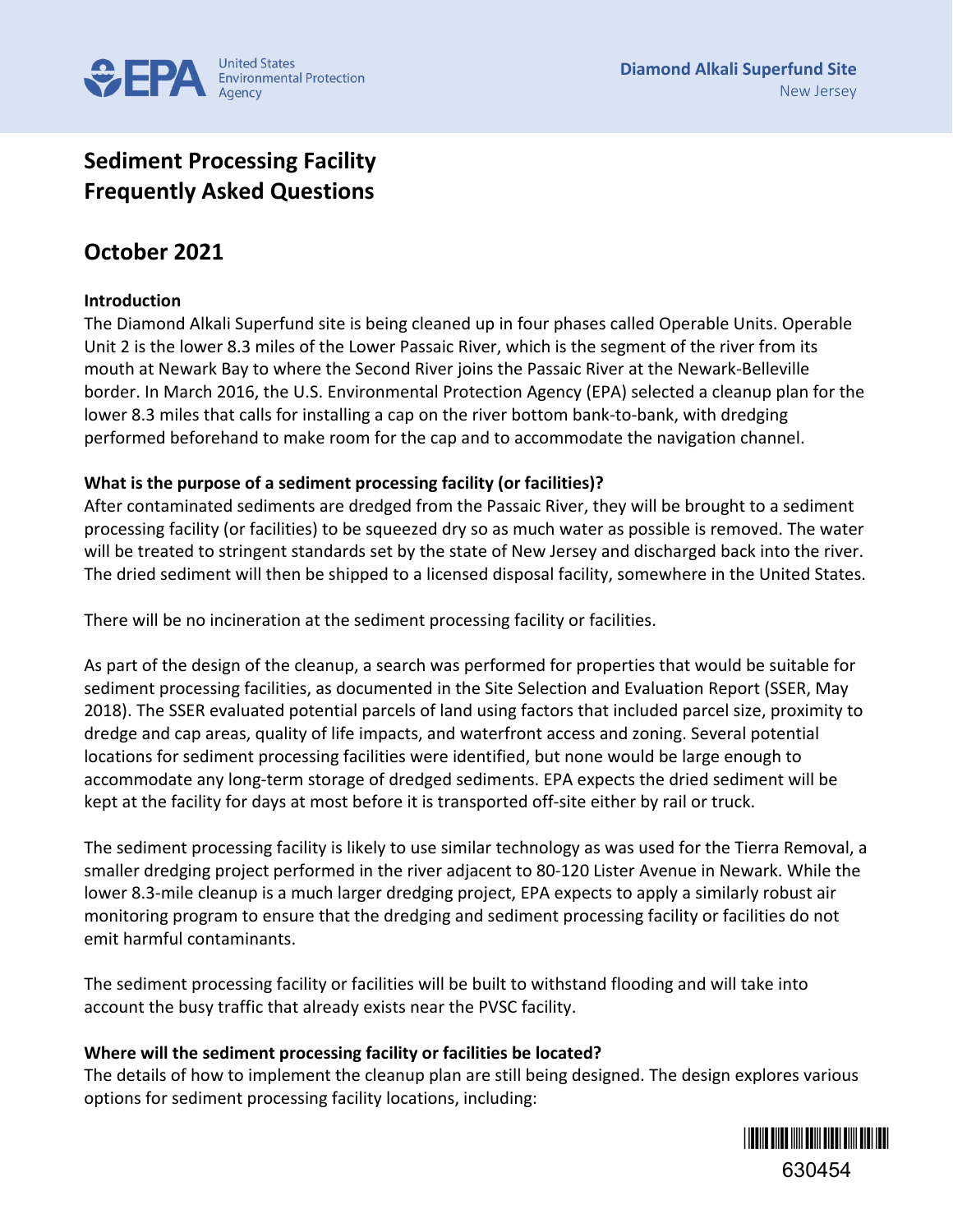

# **Sediment Processing Facility Frequently Asked Questions**

## **October 2021**

### **Introduction**

The Diamond Alkali Superfund site is being cleaned up in four phases called Operable Units. Operable Unit 2 is the lower 8.3 miles of the Lower Passaic River, which is the segment of the river from its mouth at Newark Bay to where the Second River joins the Passaic River at the Newark-Belleville border. In March 2016, the U.S. Environmental Protection Agency (EPA) selected a cleanup plan for the lower 8.3 miles that calls for installing a cap on the river bottom bank-to-bank, with dredging performed beforehand to make room for the cap and to accommodate the navigation channel.

#### **What is the purpose of a sediment processing facility (or facilities)?**

After contaminated sediments are dredged from the Passaic River, they will be brought to a sediment processing facility (or facilities) to be squeezed dry so as much water as possible is removed. The water will be treated to stringent standards set by the state of New Jersey and discharged back into the river. The dried sediment will then be shipped to a licensed disposal facility, somewhere in the United States.

There will be no incineration at the sediment processing facility or facilities.

As part of the design of the cleanup, a search was performed for properties that would be suitable for sediment processing facilities, as documented in the Site Selection and Evaluation Report (SSER, May 2018). The SSER evaluated potential parcels of land using factors that included parcel size, proximity to dredge and cap areas, quality of life impacts, and waterfront access and zoning. Several potential locations for sediment processing facilities were identified, but none would be large enough to accommodate any long-term storage of dredged sediments. EPA expects the dried sediment will be kept at the facility for days at most before it is transported off-site either by rail or truck.

The sediment processing facility is likely to use similar technology as was used for the Tierra Removal, a smaller dredging project performed in the river adjacent to 80-120 Lister Avenue in Newark. While the lower 8.3-mile cleanup is a much larger dredging project, EPA expects to apply a similarly robust air monitoring program to ensure that the dredging and sediment processing facility or facilities do not emit harmful contaminants.

The sediment processing facility or facilities will be built to withstand flooding and will take into account the busy traffic that already exists near the PVSC facility.

#### **Where will the sediment processing facility or facilities be located?**

The details of how to implement the cleanup plan are still being designed. The design explores various options for sediment processing facility locations, including:

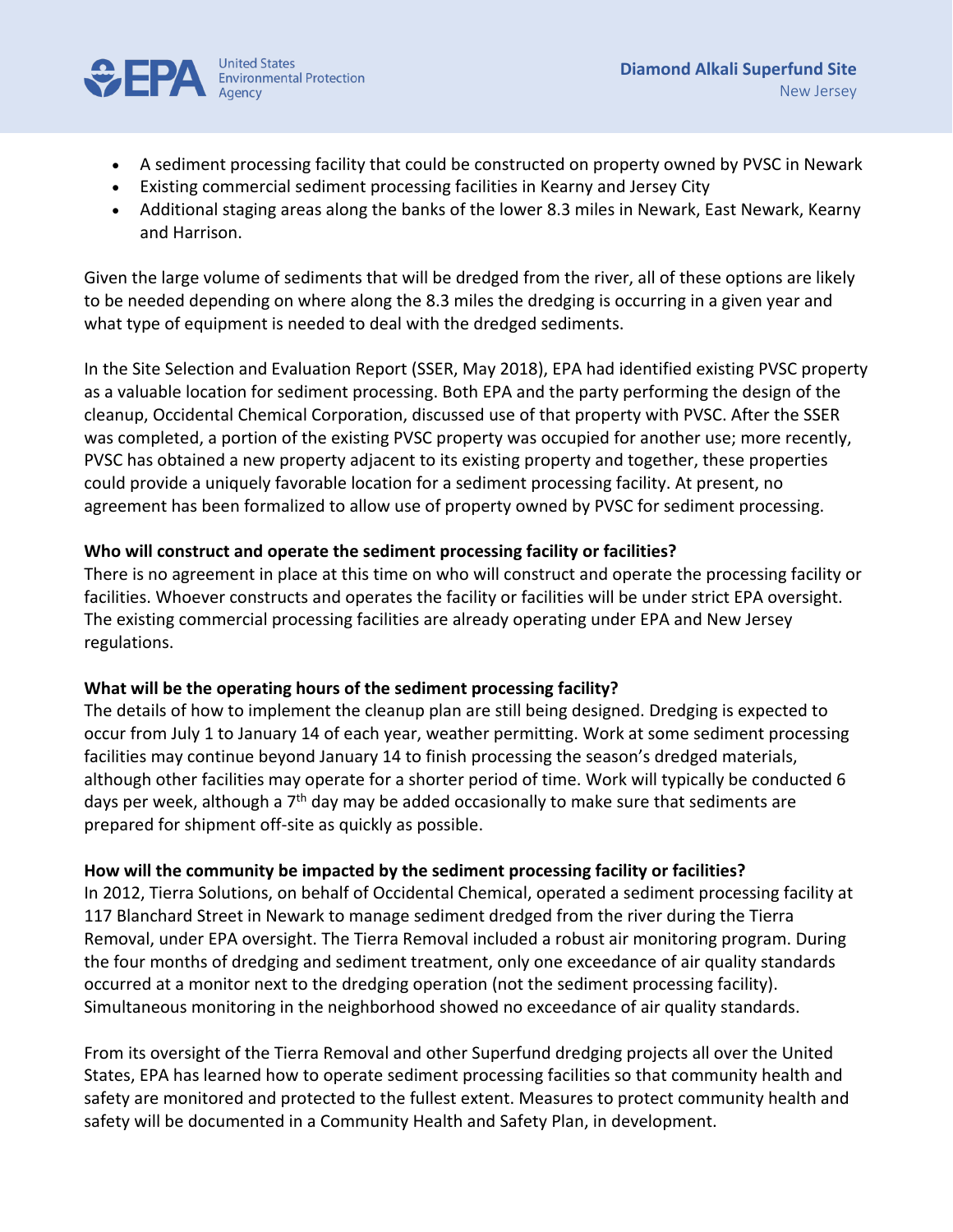

- A sediment processing facility that could be constructed on property owned by PVSC in Newark
- Existing commercial sediment processing facilities in Kearny and Jersey City
- Additional staging areas along the banks of the lower 8.3 miles in Newark, East Newark, Kearny and Harrison.

Given the large volume of sediments that will be dredged from the river, all of these options are likely to be needed depending on where along the 8.3 miles the dredging is occurring in a given year and what type of equipment is needed to deal with the dredged sediments.

In the Site Selection and Evaluation Report (SSER, May 2018), EPA had identified existing PVSC property as a valuable location for sediment processing. Both EPA and the party performing the design of the cleanup, Occidental Chemical Corporation, discussed use of that property with PVSC. After the SSER was completed, a portion of the existing PVSC property was occupied for another use; more recently, PVSC has obtained a new property adjacent to its existing property and together, these properties could provide a uniquely favorable location for a sediment processing facility. At present, no agreement has been formalized to allow use of property owned by PVSC for sediment processing.

#### **Who will construct and operate the sediment processing facility or facilities?**

There is no agreement in place at this time on who will construct and operate the processing facility or facilities. Whoever constructs and operates the facility or facilities will be under strict EPA oversight. The existing commercial processing facilities are already operating under EPA and New Jersey regulations.

#### **What will be the operating hours of the sediment processing facility?**

The details of how to implement the cleanup plan are still being designed. Dredging is expected to occur from July 1 to January 14 of each year, weather permitting. Work at some sediment processing facilities may continue beyond January 14 to finish processing the season's dredged materials, although other facilities may operate for a shorter period of time. Work will typically be conducted 6 days per week, although a 7<sup>th</sup> day may be added occasionally to make sure that sediments are prepared for shipment off-site as quickly as possible.

### **How will the community be impacted by the sediment processing facility or facilities?**

In 2012, Tierra Solutions, on behalf of Occidental Chemical, operated a sediment processing facility at 117 Blanchard Street in Newark to manage sediment dredged from the river during the Tierra Removal, under EPA oversight. The Tierra Removal included a robust air monitoring program. During the four months of dredging and sediment treatment, only one exceedance of air quality standards occurred at a monitor next to the dredging operation (not the sediment processing facility). Simultaneous monitoring in the neighborhood showed no exceedance of air quality standards.

From its oversight of the Tierra Removal and other Superfund dredging projects all over the United States, EPA has learned how to operate sediment processing facilities so that community health and safety are monitored and protected to the fullest extent. Measures to protect community health and safety will be documented in a Community Health and Safety Plan, in development.